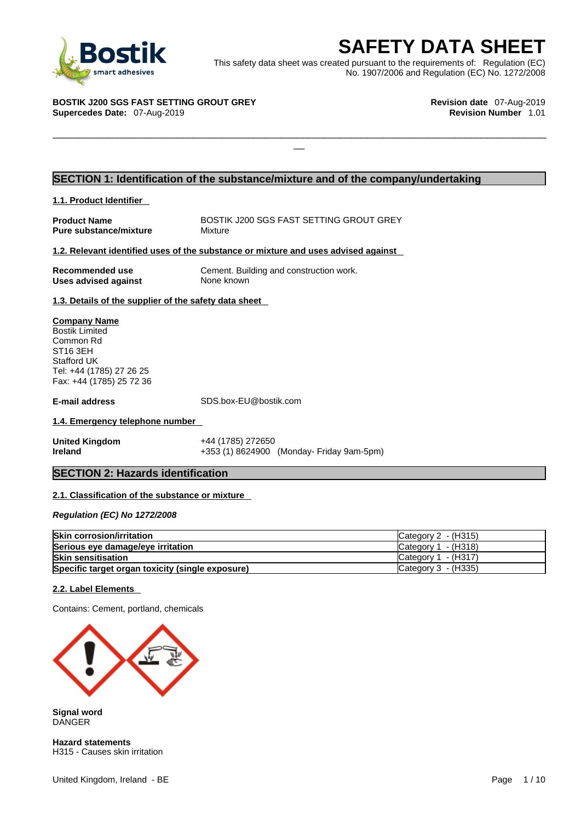

**SAFETY DATA SHEET**<br>
et was created pursuant to the requirements of: Regulation (EC)<br>
No. 1907/2006 and Regulation (EC) No. 1272/2008<br>
Revision date 07-Aug-2019<br>
Revision Number 1.01 This safety data sheet was created pursuant to the requirements of: Regulation (EC) No. 1907/2006 and Regulation (EC) No. 1272/2008

 $\Box$ 

#### **BOSTIK J200 SGS FAST SETTING GROUT GREY Revision date** 07-Aug-2019 **Supercedes Date: 07-Aug-2019**

#### **SECTION 1: Identification of the substance/mixture and of the company/undertaking**

#### **1.1. Product Identifier**

**Product Name**<br> **Pure substance/mixture** Mixture Mixture Mixture **Pure substance/mixture** 

#### **1.2. Relevant identified uses of the substance or mixture and uses advised against**

**Uses advised against** None known

**Recommended use** Cement. Building and construction work.

**1.3. Details of the supplier of the safety data sheet**

#### **Company Name** Bostik Limited Common Rd ST16 3EH Stafford UK Tel: +44 (1785) 27 26 25 Fax: +44 (1785) 25 72 36

**E-mail address** SDS.box-EU@bostik.com

#### **1.4. Emergency telephone number**

**United Kingdom** +44 (1785) 272650 **Ireland** +353 (1) 8624900 (Monday- Friday 9am-5pm)

#### **SECTION 2: Hazards identification**

#### **2.1. Classification of the substance or mixture**

*Regulation (EC) No 1272/2008* 

| <b>Skin corrosion/irritation</b>                 | Category $2 - (H315)$ |
|--------------------------------------------------|-----------------------|
| Serious eye damage/eye irritation                | Category $1 - (H318)$ |
| <b>Skin sensitisation</b>                        | Category $1 - (H317)$ |
| Specific target organ toxicity (single exposure) | Category $3$ - (H335) |

#### **2.2. Label Elements**

Contains: Cement, portland, chemicals



**Signal word** DANGER

**Hazard statements** H315 - Causes skin irritation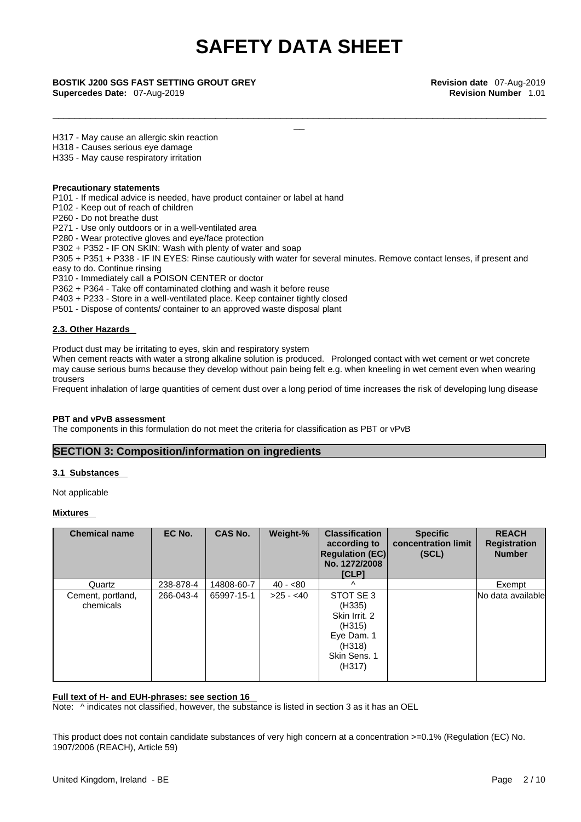\_\_\_\_\_\_\_\_\_\_\_\_\_\_\_\_\_\_\_\_\_\_\_\_\_\_\_\_\_\_\_\_\_\_\_\_\_\_\_\_\_\_\_\_\_\_\_\_\_\_\_\_\_\_\_\_\_\_\_\_\_\_\_\_\_\_\_\_\_\_\_\_\_\_\_\_\_\_\_\_\_\_\_\_\_\_\_\_\_\_\_

**Supercedes Date:** 07-Aug-2019 **Revision Number** 1.01

\_\_ **BOSTIK J200 SGS FAST SETTING GROUT GREY Revision date** 07-Aug-2019

H317 - May cause an allergic skin reaction

H318 - Causes serious eye damage

H335 - May cause respiratory irritation

#### **Precautionary statements**

P101 - If medical advice is needed, have product container or label at hand

P102 - Keep out of reach of children

P260 - Do not breathe dust

P271 - Use only outdoors or in a well-ventilated area

P280 - Wear protective gloves and eye/face protection

P302 + P352 - IF ON SKIN: Wash with plenty of water and soap

P305 + P351 + P338 - IF IN EYES: Rinse cautiously with water for several minutes. Remove contact lenses, if present and easy to do. Continue rinsing

P310 - Immediately call a POISON CENTER or doctor

P362 + P364 - Take off contaminated clothing and wash it before reuse

P403 + P233 - Store in a well-ventilated place. Keep container tightly closed

P501 - Dispose of contents/ container to an approved waste disposal plant

#### **2.3. Other Hazards**

Product dust may be irritating to eyes, skin and respiratory system

When cement reacts with water a strong alkaline solution is produced. Prolonged contact with wet cement or wet concrete may cause serious burns because they develop without pain being felt e.g. when kneeling in wet cement even when wearing trousers

Frequent inhalation of large quantities of cement dust over a long period of time increases the risk of developing lung disease

#### **PBT and vPvB assessment**

The components in this formulation do not meet the criteria for classification as PBT or vPvB

#### **SECTION 3: Composition/information on ingredients**

#### **3.1 Substances**

Not applicable

**Mixtures** 

| <b>Chemical name</b>           | EC No.    | <b>CAS No.</b> | Weight-%   | <b>Classification</b><br>according to<br><b>Regulation (EC)</b><br>No. 1272/2008<br>[CLP]        | <b>Specific</b><br>concentration limit<br>(SCL) | <b>REACH</b><br><b>Registration</b><br><b>Number</b> |
|--------------------------------|-----------|----------------|------------|--------------------------------------------------------------------------------------------------|-------------------------------------------------|------------------------------------------------------|
| Quartz                         | 238-878-4 | 14808-60-7     | $40 - 80$  | $\lambda$                                                                                        |                                                 | Exempt                                               |
| Cement, portland,<br>chemicals | 266-043-4 | 65997-15-1     | $>25 - 40$ | STOT SE 3<br>(H335)<br>Skin Irrit. 2<br>(H315)<br>Eye Dam. 1<br>(H318)<br>Skin Sens. 1<br>(H317) |                                                 | No data available                                    |

#### **Full text of H- and EUH-phrases: see section 16**

Note:  $\wedge$  indicates not classified, however, the substance is listed in section 3 as it has an OEL

This product does not contain candidate substances of very high concern at a concentration >=0.1% (Regulation (EC) No. 1907/2006 (REACH), Article 59)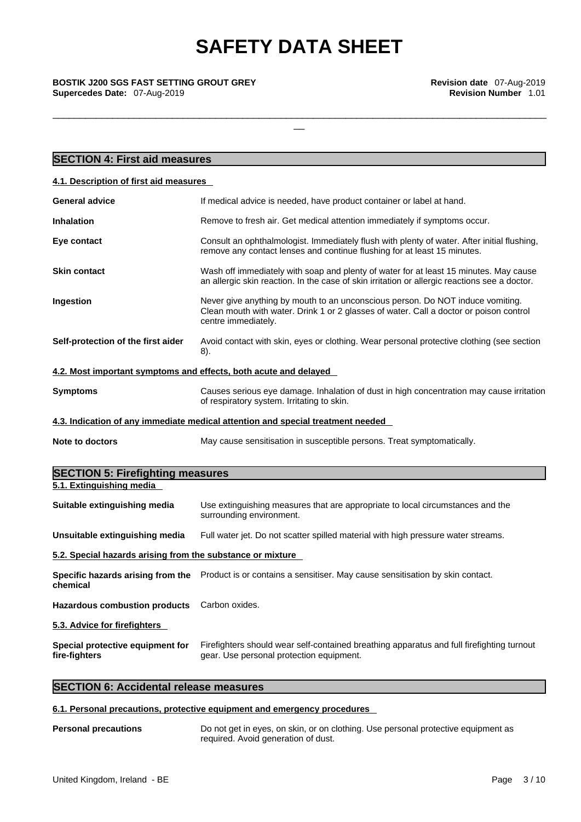\_\_\_\_\_\_\_\_\_\_\_\_\_\_\_\_\_\_\_\_\_\_\_\_\_\_\_\_\_\_\_\_\_\_\_\_\_\_\_\_\_\_\_\_\_\_\_\_\_\_\_\_\_\_\_\_\_\_\_\_\_\_\_\_\_\_\_\_\_\_\_\_\_\_\_\_\_\_\_\_\_\_\_\_\_\_\_\_\_\_\_

# \_\_ **BOSTIK J200 SGS FAST SETTING GROUT GREY Revision date** 07-Aug-2019 **Supercedes Date:** 07-Aug-2019 **Revision Number** 1.01

| <b>SECTION 4: First aid measures</b>                                                                                                                                                                          |  |
|---------------------------------------------------------------------------------------------------------------------------------------------------------------------------------------------------------------|--|
| 4.1. Description of first aid measures                                                                                                                                                                        |  |
| <b>General advice</b><br>If medical advice is needed, have product container or label at hand.                                                                                                                |  |
| <b>Inhalation</b><br>Remove to fresh air. Get medical attention immediately if symptoms occur.                                                                                                                |  |
| Consult an ophthalmologist. Immediately flush with plenty of water. After initial flushing,<br>Eye contact<br>remove any contact lenses and continue flushing for at least 15 minutes.                        |  |
| Wash off immediately with soap and plenty of water for at least 15 minutes. May cause<br><b>Skin contact</b><br>an allergic skin reaction. In the case of skin irritation or allergic reactions see a doctor. |  |
| Ingestion<br>Never give anything by mouth to an unconscious person. Do NOT induce vomiting.<br>Clean mouth with water. Drink 1 or 2 glasses of water. Call a doctor or poison control<br>centre immediately.  |  |
| Self-protection of the first aider<br>Avoid contact with skin, eyes or clothing. Wear personal protective clothing (see section<br>8).                                                                        |  |
| 4.2. Most important symptoms and effects, both acute and delayed                                                                                                                                              |  |
| <b>Symptoms</b><br>Causes serious eye damage. Inhalation of dust in high concentration may cause irritation<br>of respiratory system. Irritating to skin.                                                     |  |
| 4.3. Indication of any immediate medical attention and special treatment needed                                                                                                                               |  |
| May cause sensitisation in susceptible persons. Treat symptomatically.<br>Note to doctors                                                                                                                     |  |
| <b>SECTION 5: Firefighting measures</b>                                                                                                                                                                       |  |
| 5.1. Extinguishing media                                                                                                                                                                                      |  |
| Use extinguishing measures that are appropriate to local circumstances and the<br>Suitable extinguishing media<br>surrounding environment.                                                                    |  |
| Unsuitable extinguishing media<br>Full water jet. Do not scatter spilled material with high pressure water streams.                                                                                           |  |
| 5.2. Special hazards arising from the substance or mixture                                                                                                                                                    |  |
| Specific hazards arising from the Product is or contains a sensitiser. May cause sensitisation by skin contact.<br>chemical                                                                                   |  |
| <b>Hazardous combustion products</b><br>Carbon oxides.                                                                                                                                                        |  |
| 5.3. Advice for firefighters                                                                                                                                                                                  |  |
| Special protective equipment for<br>Firefighters should wear self-contained breathing apparatus and full firefighting turnout<br>gear. Use personal protection equipment.<br>fire-fighters                    |  |

### **SECTION 6: Accidental release measures**

#### **6.1. Personal precautions, protective equipment and emergency procedures**

#### **Personal precautions** Do not get in eyes, on skin, or on clothing. Use personal protective equipment as required. Avoid generation of dust.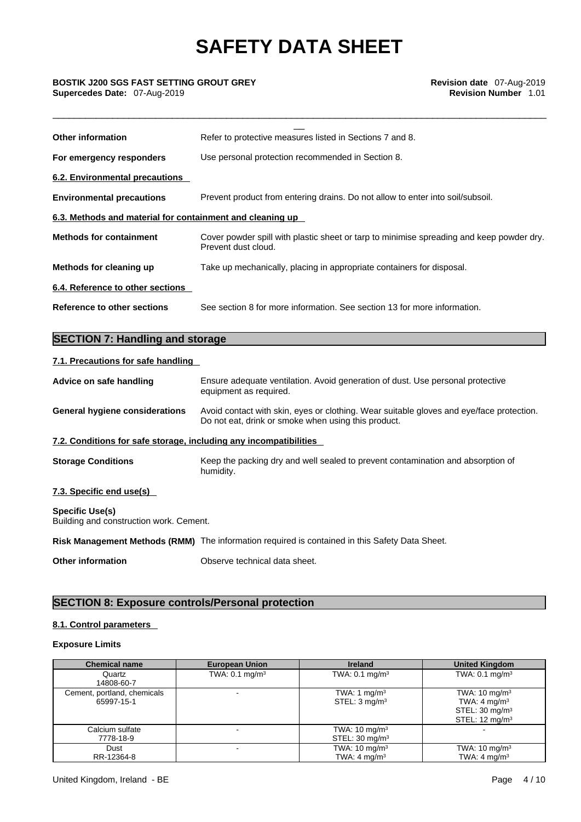\_\_\_\_\_\_\_\_\_\_\_\_\_\_\_\_\_\_\_\_\_\_\_\_\_\_\_\_\_\_\_\_\_\_\_\_\_\_\_\_\_\_\_\_\_\_\_\_\_\_\_\_\_\_\_\_\_\_\_\_\_\_\_\_\_\_\_\_\_\_\_\_\_\_\_\_\_\_\_\_\_\_\_\_\_\_\_\_\_\_\_

# \_\_ **BOSTIK J200 SGS FAST SETTING GROUT GREY Revision date** 07-Aug-2019 **Supercedes Date:** 07-Aug-2019 **Revision Number** 1.01

| <b>Other information</b>                                  | Refer to protective measures listed in Sections 7 and 8.                                                        |  |  |
|-----------------------------------------------------------|-----------------------------------------------------------------------------------------------------------------|--|--|
| For emergency responders                                  | Use personal protection recommended in Section 8.                                                               |  |  |
| 6.2. Environmental precautions                            |                                                                                                                 |  |  |
| <b>Environmental precautions</b>                          | Prevent product from entering drains. Do not allow to enter into soil/subsoil.                                  |  |  |
| 6.3. Methods and material for containment and cleaning up |                                                                                                                 |  |  |
| <b>Methods for containment</b>                            | Cover powder spill with plastic sheet or tarp to minimise spreading and keep powder dry.<br>Prevent dust cloud. |  |  |
| Methods for cleaning up                                   | Take up mechanically, placing in appropriate containers for disposal.                                           |  |  |
| 6.4. Reference to other sections                          |                                                                                                                 |  |  |
| Reference to other sections                               | See section 8 for more information. See section 13 for more information.                                        |  |  |
|                                                           |                                                                                                                 |  |  |
| <b>SECTION 7: Handling and storage</b>                    |                                                                                                                 |  |  |

### **7.1. Precautions for safe handling**

| Advice on safe handling                                           | Ensure adequate ventilation. Avoid generation of dust. Use personal protective<br>equipment as required.                                        |  |
|-------------------------------------------------------------------|-------------------------------------------------------------------------------------------------------------------------------------------------|--|
| General hygiene considerations                                    | Avoid contact with skin, eyes or clothing. Wear suitable gloves and eye/face protection.<br>Do not eat, drink or smoke when using this product. |  |
| 7.2. Conditions for safe storage, including any incompatibilities |                                                                                                                                                 |  |
| <b>Storage Conditions</b>                                         | Keep the packing dry and well sealed to prevent contamination and absorption of<br>humidity.                                                    |  |
| 7.3. Specific end use(s)                                          |                                                                                                                                                 |  |
| <b>Specific Use(s)</b><br>Building and construction work. Cement. |                                                                                                                                                 |  |
|                                                                   | Risk Management Methods (RMM) The information required is contained in this Safety Data Sheet.                                                  |  |
| <b>Other information</b>                                          | Observe technical data sheet.                                                                                                                   |  |

### **SECTION 8: Exposure controls/Personal protection**

#### **8.1. Control parameters**

#### **Exposure Limits**

| <b>Chemical name</b>                      | <b>European Union</b>     | <b>Ireland</b>                                        | <b>United Kingdom</b>                                                                                          |
|-------------------------------------------|---------------------------|-------------------------------------------------------|----------------------------------------------------------------------------------------------------------------|
| Quartz<br>14808-60-7                      | TWA: $0.1 \text{ mg/m}^3$ | TWA: $0.1 \text{ mg/m}^3$                             | TWA: $0.1 \text{ mg/m}^3$                                                                                      |
| Cement, portland, chemicals<br>65997-15-1 |                           | TWA: 1 mg/m <sup>3</sup><br>STEL: $3 \text{ mq/m}^3$  | TWA: $10 \text{ mg/m}^3$<br>TWA: 4 mg/m <sup>3</sup><br>STEL: $30 \text{ mg/m}^3$<br>STEL: $12 \text{ mg/m}^3$ |
| Calcium sulfate<br>7778-18-9              |                           | TWA: $10 \text{ mg/m}^3$<br>STEL: $30 \text{ mg/m}^3$ |                                                                                                                |
| Dust<br>RR-12364-8                        |                           | TWA: $10 \text{ mg/m}^3$<br>TWA: $4 \text{ ma/m}^3$   | TWA: $10 \text{ mg/m}^3$<br>TWA: $4 \text{ ma/m}^3$                                                            |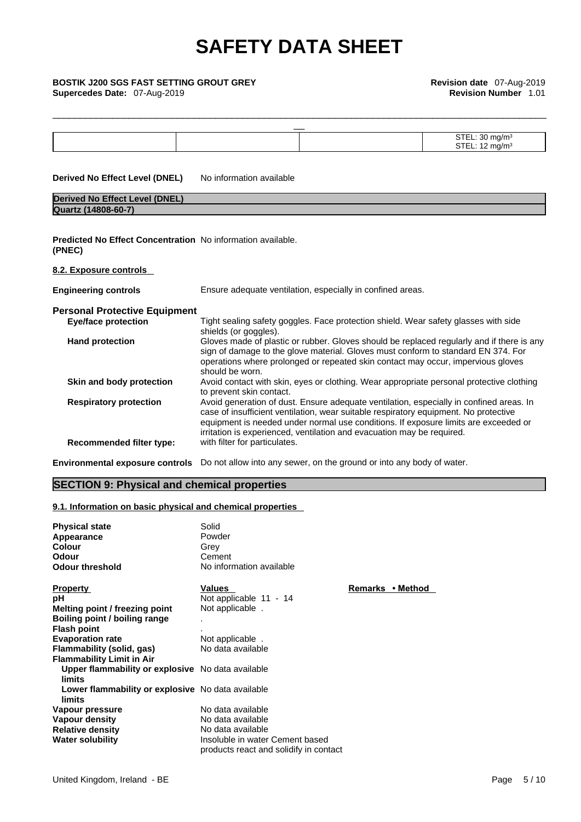**Supercedes Date:** 07-Aug-2019 **Revision Number** 1.01

| <b>BOSTIK J200 SGS FAST SETTING GROUT GREY</b><br>Supercedes Date: 07-Aug-2019 |                               |                                                                                                                                                                                                                                                                                                                                                  | Revision date 07-Aug-2019<br><b>Revision Number 1.01</b> |  |
|--------------------------------------------------------------------------------|-------------------------------|--------------------------------------------------------------------------------------------------------------------------------------------------------------------------------------------------------------------------------------------------------------------------------------------------------------------------------------------------|----------------------------------------------------------|--|
|                                                                                |                               |                                                                                                                                                                                                                                                                                                                                                  | STEL: 30 mg/m <sup>3</sup>                               |  |
|                                                                                |                               |                                                                                                                                                                                                                                                                                                                                                  | STEL: 12 mg/m <sup>3</sup>                               |  |
| <b>Derived No Effect Level (DNEL)</b>                                          | No information available      |                                                                                                                                                                                                                                                                                                                                                  |                                                          |  |
| <b>Derived No Effect Level (DNEL)</b>                                          |                               |                                                                                                                                                                                                                                                                                                                                                  |                                                          |  |
| Quartz (14808-60-7)                                                            |                               |                                                                                                                                                                                                                                                                                                                                                  |                                                          |  |
| <b>Predicted No Effect Concentration</b> No information available.<br>(PNEC)   |                               |                                                                                                                                                                                                                                                                                                                                                  |                                                          |  |
| 8.2. Exposure controls                                                         |                               |                                                                                                                                                                                                                                                                                                                                                  |                                                          |  |
| <b>Engineering controls</b>                                                    |                               | Ensure adequate ventilation, especially in confined areas.                                                                                                                                                                                                                                                                                       |                                                          |  |
| <b>Personal Protective Equipment</b>                                           |                               |                                                                                                                                                                                                                                                                                                                                                  |                                                          |  |
| <b>Eye/face protection</b>                                                     | shields (or goggles).         | Tight sealing safety goggles. Face protection shield. Wear safety glasses with side                                                                                                                                                                                                                                                              |                                                          |  |
| <b>Hand protection</b>                                                         | should be worn.               | Gloves made of plastic or rubber. Gloves should be replaced regularly and if there is any<br>sign of damage to the glove material. Gloves must conform to standard EN 374. For<br>operations where prolonged or repeated skin contact may occur, impervious gloves                                                                               |                                                          |  |
| Skin and body protection                                                       | to prevent skin contact.      | Avoid contact with skin, eyes or clothing. Wear appropriate personal protective clothing                                                                                                                                                                                                                                                         |                                                          |  |
| <b>Respiratory protection</b>                                                  |                               | Avoid generation of dust. Ensure adequate ventilation, especially in confined areas. In<br>case of insufficient ventilation, wear suitable respiratory equipment. No protective<br>equipment is needed under normal use conditions. If exposure limits are exceeded or<br>irritation is experienced, ventilation and evacuation may be required. |                                                          |  |
| <b>Recommended filter type:</b>                                                | with filter for particulates. |                                                                                                                                                                                                                                                                                                                                                  |                                                          |  |
|                                                                                |                               |                                                                                                                                                                                                                                                                                                                                                  |                                                          |  |

**Environmental exposure controls** Do not allow into any sewer, on the ground or into any body of water.

#### **SECTION 9: Physical and chemical properties**

#### **9.1. Information on basic physical and chemical properties**

| <b>Physical state</b><br>Appearance<br>Colour<br>Odour<br><b>Odour threshold</b> | Solid<br>Powder<br>Grey<br>Cement<br>No information available |                  |
|----------------------------------------------------------------------------------|---------------------------------------------------------------|------------------|
| <b>Property</b>                                                                  | <b>Values</b>                                                 | Remarks • Method |
| рH                                                                               | Not applicable 11 - 14                                        |                  |
| Melting point / freezing point                                                   | Not applicable.                                               |                  |
| Boiling point / boiling range                                                    |                                                               |                  |
| <b>Flash point</b>                                                               |                                                               |                  |
| <b>Evaporation rate</b>                                                          | Not applicable.                                               |                  |
| Flammability (solid, gas)                                                        | No data available                                             |                  |
| <b>Flammability Limit in Air</b>                                                 |                                                               |                  |
| Upper flammability or explosive No data available<br>limits                      |                                                               |                  |
| Lower flammability or explosive No data available<br>limits                      |                                                               |                  |
| Vapour pressure                                                                  | No data available                                             |                  |
| Vapour density                                                                   | No data available                                             |                  |
| <b>Relative density</b>                                                          | No data available                                             |                  |
| <b>Water solubility</b>                                                          | Insoluble in water Cement based                               |                  |
|                                                                                  | products react and solidify in contact                        |                  |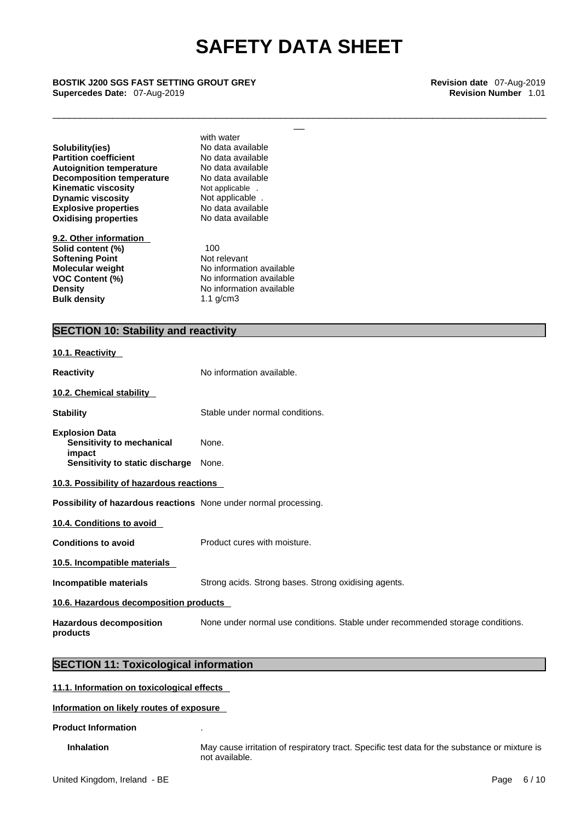\_\_\_\_\_\_\_\_\_\_\_\_\_\_\_\_\_\_\_\_\_\_\_\_\_\_\_\_\_\_\_\_\_\_\_\_\_\_\_\_\_\_\_\_\_\_\_\_\_\_\_\_\_\_\_\_\_\_\_\_\_\_\_\_\_\_\_\_\_\_\_\_\_\_\_\_\_\_\_\_\_\_\_\_\_\_\_\_\_\_\_

# \_\_ **BOSTIK J200 SGS FAST SETTING GROUT GREY Revision date** 07-Aug-2019 **Supercedes Date:** 07-Aug-2019 **Revision Number** 1.01

**Explosive properties** No data available<br> **Oxidising properties** No data available **Oxidising properties Solubility(ies)** No data available<br> **Partition coefficient** No data available **Partition coefficient**<br> **Autoignition temperature**<br>
No data available **Autoignition temperature Decomposition temperature** No data available **Kinematic viscosity Not applicable** .<br> **Dynamic viscosity Not applicable** . **Dynamic viscosity** 

**9.2. Other information Solid content (%)** 100<br> **Softening Point** Not relevant **Softening Point Bulk density** 1.1 g/cm3

with water

**Molecular weight** No information available **VOC Content (%)** No information available **Density No information available** 

#### **SECTION 10: Stability and reactivity**

| 10.1. Reactivity                                                                                |                                                                                |
|-------------------------------------------------------------------------------------------------|--------------------------------------------------------------------------------|
| <b>Reactivity</b>                                                                               | No information available.                                                      |
| 10.2. Chemical stability                                                                        |                                                                                |
| <b>Stability</b>                                                                                | Stable under normal conditions.                                                |
| <b>Explosion Data</b><br>Sensitivity to mechanical<br>impact<br>Sensitivity to static discharge | None.<br>None.                                                                 |
| 10.3. Possibility of hazardous reactions                                                        |                                                                                |
| Possibility of hazardous reactions None under normal processing.                                |                                                                                |
| 10.4. Conditions to avoid                                                                       |                                                                                |
| <b>Conditions to avoid</b>                                                                      | Product cures with moisture.                                                   |
| 10.5. Incompatible materials                                                                    |                                                                                |
| Incompatible materials                                                                          | Strong acids. Strong bases. Strong oxidising agents.                           |
| 10.6. Hazardous decomposition products                                                          |                                                                                |
| <b>Hazardous decomposition</b><br>products                                                      | None under normal use conditions. Stable under recommended storage conditions. |
| <b>SECTION 11: Toxicological information</b>                                                    |                                                                                |
| 11.1. Information on toxicological effects                                                      |                                                                                |

### **Information on likely routes of exposure**

#### **Product Information** .

**Inhalation** May cause irritation of respiratory tract. Specific test data for the substance or mixture is not available.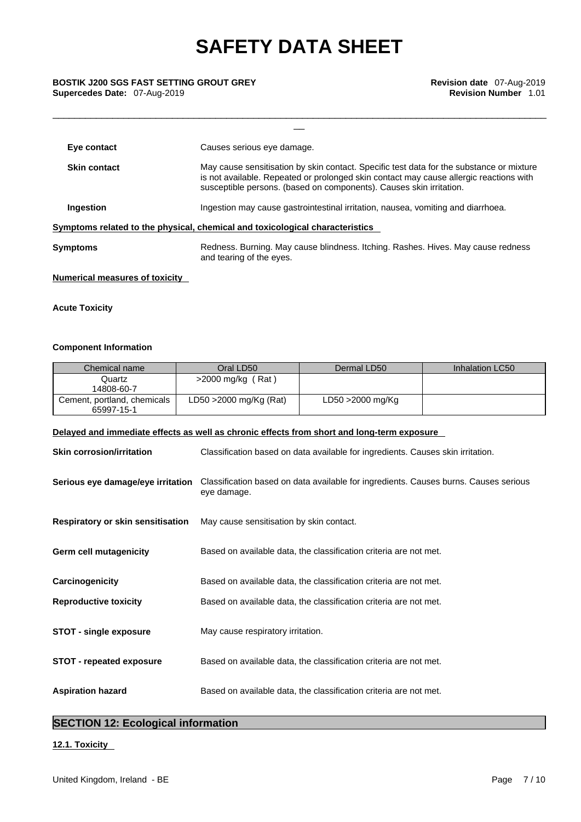\_\_\_\_\_\_\_\_\_\_\_\_\_\_\_\_\_\_\_\_\_\_\_\_\_\_\_\_\_\_\_\_\_\_\_\_\_\_\_\_\_\_\_\_\_\_\_\_\_\_\_\_\_\_\_\_\_\_\_\_\_\_\_\_\_\_\_\_\_\_\_\_\_\_\_\_\_\_\_\_\_\_\_\_\_\_\_\_\_\_\_

# \_\_ **BOSTIK J200 SGS FAST SETTING GROUT GREY Revision date** 07-Aug-2019 **Supercedes Date:** 07-Aug-2019 **Revision Number** 1.01

| Causes serious eye damage.                                                                                                                                                                                                                                |  |  |
|-----------------------------------------------------------------------------------------------------------------------------------------------------------------------------------------------------------------------------------------------------------|--|--|
| May cause sensitisation by skin contact. Specific test data for the substance or mixture<br>is not available. Repeated or prolonged skin contact may cause allergic reactions with<br>susceptible persons. (based on components). Causes skin irritation. |  |  |
| Ingestion may cause gastrointestinal irritation, nausea, vomiting and diarrhoea.                                                                                                                                                                          |  |  |
| Symptoms related to the physical, chemical and toxicological characteristics                                                                                                                                                                              |  |  |
| Redness. Burning. May cause blindness. Itching. Rashes. Hives. May cause redness<br>and tearing of the eyes.                                                                                                                                              |  |  |
|                                                                                                                                                                                                                                                           |  |  |

#### **Numerical measures of toxicity**

#### **Acute Toxicity**

#### **Component Information**

| Chemical name                             | Oral LD50                 | Dermal LD50      | Inhalation LC50 |
|-------------------------------------------|---------------------------|------------------|-----------------|
| Quartz<br>14808-60-7                      | $>2000$ mg/kg (Rat)       |                  |                 |
| Cement, portland, chemicals<br>65997-15-1 | $LD50 > 2000$ mg/Kg (Rat) | LD50 >2000 mg/Kg |                 |

#### **Delayed and immediate effects as well as chronic effects from short and long-term exposure**

| <b>Skin corrosion/irritation</b>         | Classification based on data available for ingredients. Causes skin irritation.                     |
|------------------------------------------|-----------------------------------------------------------------------------------------------------|
| Serious eye damage/eye irritation        | Classification based on data available for ingredients. Causes burns. Causes serious<br>eye damage. |
| <b>Respiratory or skin sensitisation</b> | May cause sensitisation by skin contact.                                                            |
| Germ cell mutagenicity                   | Based on available data, the classification criteria are not met.                                   |
| Carcinogenicity                          | Based on available data, the classification criteria are not met.                                   |
| <b>Reproductive toxicity</b>             | Based on available data, the classification criteria are not met.                                   |
| <b>STOT - single exposure</b>            | May cause respiratory irritation.                                                                   |
| <b>STOT - repeated exposure</b>          | Based on available data, the classification criteria are not met.                                   |
| <b>Aspiration hazard</b>                 | Based on available data, the classification criteria are not met.                                   |

### **SECTION 12: Ecological information**

#### **12.1. Toxicity**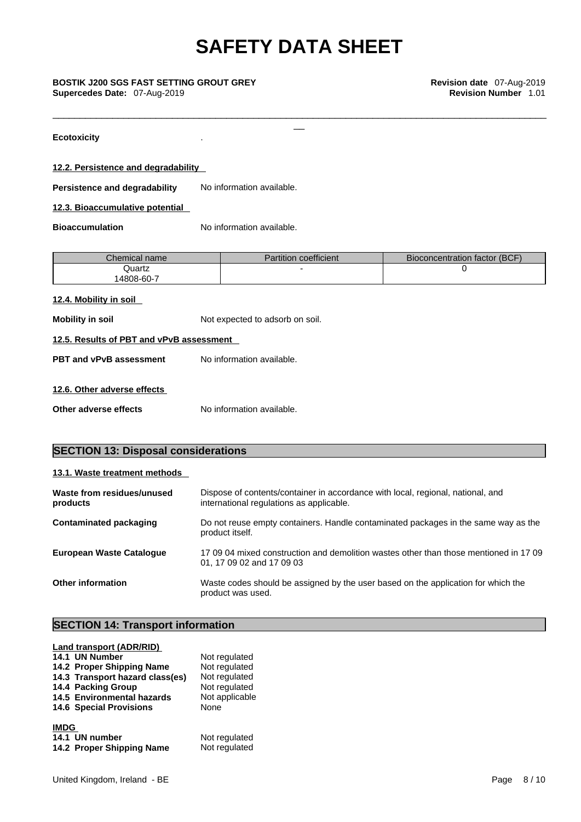\_\_\_\_\_\_\_\_\_\_\_\_\_\_\_\_\_\_\_\_\_\_\_\_\_\_\_\_\_\_\_\_\_\_\_\_\_\_\_\_\_\_\_\_\_\_\_\_\_\_\_\_\_\_\_\_\_\_\_\_\_\_\_\_\_\_\_\_\_\_\_\_\_\_\_\_\_\_\_\_\_\_\_\_\_\_\_\_\_\_\_

**Ecotoxicity** .

#### **12.2. Persistence and degradability**

**Persistence and degradability** No information available.

**12.3. Bioaccumulative potential** 

**Bioaccumulation** No information available.

| Chemical name | Partition coefficient | Bioconcentration factor (BCF) |
|---------------|-----------------------|-------------------------------|
| Quartz        |                       |                               |
| 4808-60-7     |                       |                               |

#### **12.4. Mobility in soil**

**Mobility** in soil **Mobility** in soil.

#### **12.5. Results of PBT and vPvB assessment**

**PBT** and **vPvB** assessment No information available.

#### **12.6. Other adverse effects**

**Other adverse effects** No information available.

#### **SECTION 13: Disposal considerations**

|--|

| Waste from residues/unused<br>products | Dispose of contents/container in accordance with local, regional, national, and<br>international regulations as applicable. |
|----------------------------------------|-----------------------------------------------------------------------------------------------------------------------------|
| <b>Contaminated packaging</b>          | Do not reuse empty containers. Handle contaminated packages in the same way as the<br>product itself.                       |
| <b>European Waste Cataloque</b>        | 17 09 04 mixed construction and demolition wastes other than those mentioned in 17 09<br>01, 17 09 02 and 17 09 03          |
| <b>Other information</b>               | Waste codes should be assigned by the user based on the application for which the<br>product was used.                      |

#### **SECTION 14: Transport information**

| Land transport (ADR/RID)        |                |
|---------------------------------|----------------|
| 14.1 UN Number                  | Not regulated  |
| 14.2 Proper Shipping Name       | Not regulated  |
| 14.3 Transport hazard class(es) | Not regulated  |
| 14.4 Packing Group              | Not regulated  |
| 14.5 Environmental hazards      | Not applicable |
| <b>14.6 Special Provisions</b>  | None           |
| <b>IMDG</b>                     |                |
| 14.1 UN number                  | Not regulated  |
| 14.2 Proper Shipping Name       | Not regulated  |
|                                 |                |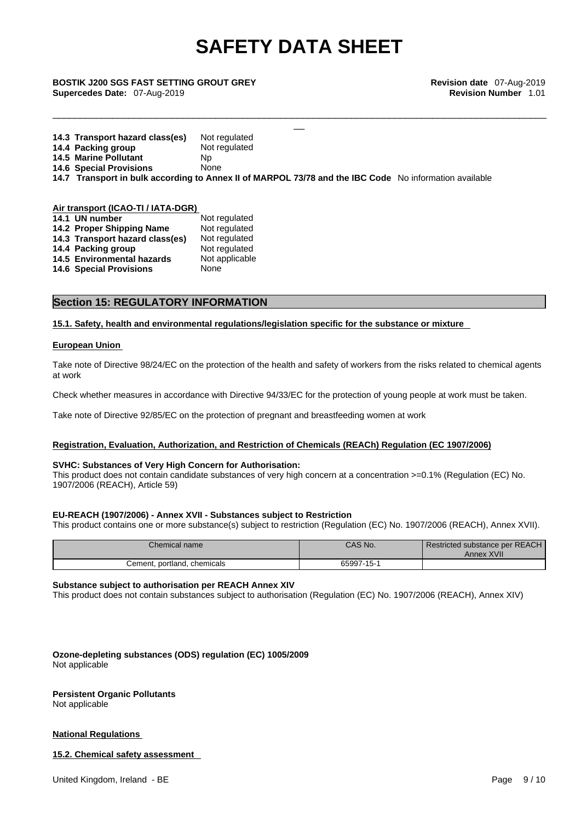\_\_\_\_\_\_\_\_\_\_\_\_\_\_\_\_\_\_\_\_\_\_\_\_\_\_\_\_\_\_\_\_\_\_\_\_\_\_\_\_\_\_\_\_\_\_\_\_\_\_\_\_\_\_\_\_\_\_\_\_\_\_\_\_\_\_\_\_\_\_\_\_\_\_\_\_\_\_\_\_\_\_\_\_\_\_\_\_\_\_\_

# \_\_ **BOSTIK J200 SGS FAST SETTING GROUT GREY Revision date** 07-Aug-2019 **Supercedes Date:** 07-Aug-2019 **Revision Number** 1.01

| 14.3 Transport hazard class(es)                                                                        | Not regulated |
|--------------------------------------------------------------------------------------------------------|---------------|
| 14.4 Packing group                                                                                     | Not regulated |
| <b>14.5 Marine Pollutant</b>                                                                           | Np            |
| <b>14.6 Special Provisions</b>                                                                         | None          |
| 14.7 Transport in bulk according to Annex II of MARPOL 73/78 and the IBC Code No information available |               |

#### **Air transport (ICAO-TI / IATA-DGR)**

| 14.1 UN number                    | Not regulated  |
|-----------------------------------|----------------|
| 14.2 Proper Shipping Name         | Not regulated  |
| 14.3 Transport hazard class(es)   | Not regulated  |
| 14.4 Packing group                | Not regulated  |
| <b>14.5 Environmental hazards</b> | Not applicable |
| <b>14.6 Special Provisions</b>    | None           |
|                                   |                |

#### **Section 15: REGULATORY INFORMATION**

**15.1. Safety, health and environmental regulations/legislation specific for the substance or mixture**

#### **European Union**

Take note of Directive 98/24/EC on the protection of the health and safety of workers from the risks related to chemical agents at work

Check whether measures in accordance with Directive 94/33/EC for the protection of young people at work must be taken.

Take note of Directive 92/85/EC on the protection of pregnant and breastfeeding women at work

#### **Registration, Evaluation, Authorization, and Restriction of Chemicals (REACh) Regulation (EC 1907/2006)**

#### **SVHC: Substances of Very High Concern for Authorisation:**

This product does not contain candidate substances of very high concern at a concentration >=0.1% (Regulation (EC) No. 1907/2006 (REACH), Article 59)

#### **EU-REACH (1907/2006) - Annex XVII - Substances subject to Restriction**

This product contains one or more substance(s) subject to restriction (Regulation (EC) No. 1907/2006 (REACH), Annex XVII).

| Chemical name               | CAS No.    | Restricted substance per REACH<br>Annex XVII |  |
|-----------------------------|------------|----------------------------------------------|--|
| Cement, portland, chemicals | 65997-15-1 |                                              |  |

#### **Substance subject to authorisation per REACH Annex XIV**

This product does not contain substances subject to authorisation (Regulation (EC) No. 1907/2006 (REACH), Annex XIV)

**Ozone-depleting substances (ODS) regulation (EC) 1005/2009** Not applicable

#### **Persistent Organic Pollutants**

Not applicable

#### **National Regulations**

#### **15.2. Chemical safety assessment**